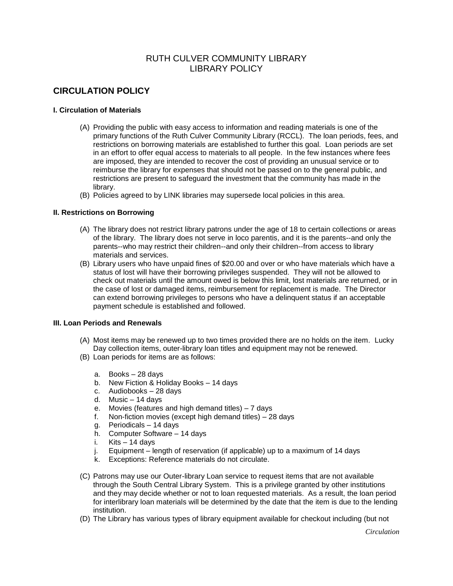# RUTH CULVER COMMUNITY LIBRARY LIBRARY POLICY

# **CIRCULATION POLICY**

## **I. Circulation of Materials**

- (A) Providing the public with easy access to information and reading materials is one of the primary functions of the Ruth Culver Community Library (RCCL). The loan periods, fees, and restrictions on borrowing materials are established to further this goal. Loan periods are set in an effort to offer equal access to materials to all people. In the few instances where fees are imposed, they are intended to recover the cost of providing an unusual service or to reimburse the library for expenses that should not be passed on to the general public, and restrictions are present to safeguard the investment that the community has made in the library.
- (B) Policies agreed to by LINK libraries may supersede local policies in this area.

### **II. Restrictions on Borrowing**

- (A) The library does not restrict library patrons under the age of 18 to certain collections or areas of the library. The library does not serve in loco parentis, and it is the parents--and only the parents--who may restrict their children--and only their children--from access to library materials and services.
- (B) Library users who have unpaid fines of \$20.00 and over or who have materials which have a status of lost will have their borrowing privileges suspended. They will not be allowed to check out materials until the amount owed is below this limit, lost materials are returned, or in the case of lost or damaged items, reimbursement for replacement is made. The Director can extend borrowing privileges to persons who have a delinquent status if an acceptable payment schedule is established and followed.

#### **III. Loan Periods and Renewals**

- (A) Most items may be renewed up to two times provided there are no holds on the item. Lucky Day collection items, outer-library loan titles and equipment may not be renewed.
- (B) Loan periods for items are as follows:
	- a. Books 28 days
	- b. New Fiction & Holiday Books 14 days
	- c. Audiobooks 28 days
	- d. Music 14 days
	- e. Movies (features and high demand titles) 7 days
	- f. Non-fiction movies (except high demand titles) 28 days
	- g. Periodicals 14 days
	- h. Computer Software 14 days
	- i. Kits 14 days
	- j. Equipment length of reservation (if applicable) up to a maximum of 14 days
	- k. Exceptions: Reference materials do not circulate.
- (C) Patrons may use our Outer-library Loan service to request items that are not available through the South Central Library System. This is a privilege granted by other institutions and they may decide whether or not to loan requested materials. As a result, the loan period for interlibrary loan materials will be determined by the date that the item is due to the lending institution.
- (D) The Library has various types of library equipment available for checkout including (but not